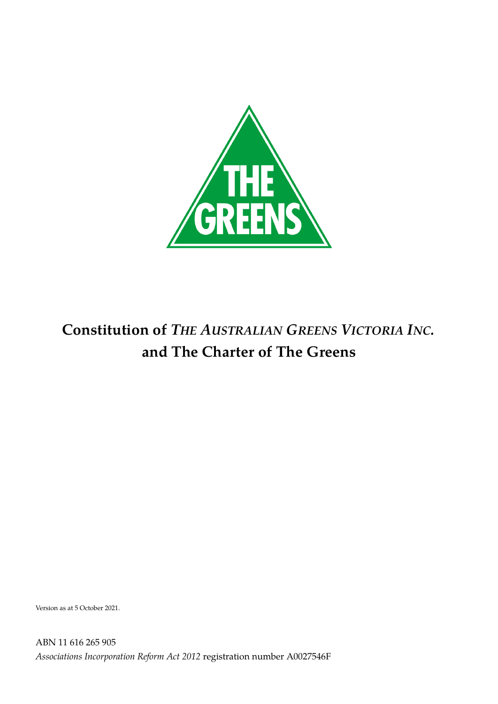

# **Constitution of** *THE AUSTRALIAN GREENS VICTORIA INC.* **and The Charter of The Greens**

Version as at 5 October 2021.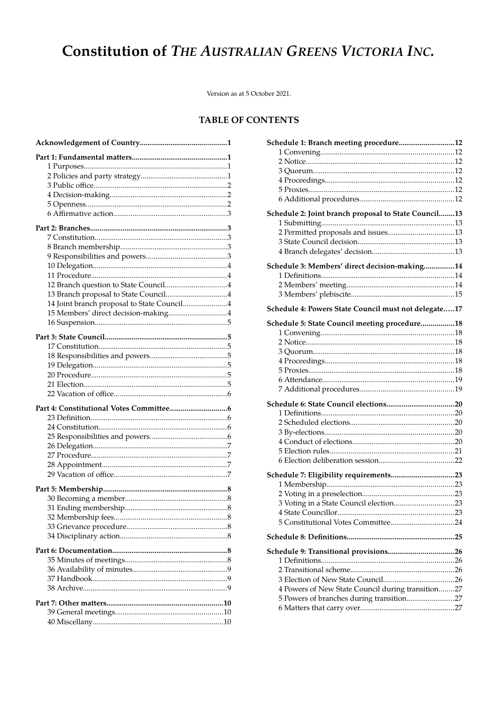# **Constitution of THE AUSTRALIAN GREENS VICTORIA INC.**

Version as at 5 October 2021.

# **TABLE OF CONTENTS**

| 14 Joint branch proposal to State Council4 |  |
|--------------------------------------------|--|
| 15 Members' direct decision-making4        |  |
|                                            |  |
|                                            |  |
|                                            |  |
|                                            |  |
|                                            |  |
|                                            |  |
|                                            |  |
|                                            |  |
|                                            |  |
|                                            |  |
|                                            |  |
|                                            |  |
|                                            |  |
|                                            |  |
|                                            |  |
|                                            |  |
|                                            |  |
|                                            |  |
|                                            |  |
|                                            |  |
|                                            |  |
|                                            |  |
|                                            |  |
|                                            |  |
|                                            |  |
|                                            |  |
|                                            |  |
|                                            |  |
|                                            |  |
|                                            |  |
|                                            |  |
|                                            |  |
|                                            |  |
|                                            |  |
|                                            |  |

| Schedule 1: Branch meeting procedure12               |  |
|------------------------------------------------------|--|
|                                                      |  |
|                                                      |  |
|                                                      |  |
|                                                      |  |
|                                                      |  |
|                                                      |  |
| Schedule 2: Joint branch proposal to State Council13 |  |
|                                                      |  |
|                                                      |  |
|                                                      |  |
|                                                      |  |
|                                                      |  |
| Schedule 3: Members' direct decision-making14        |  |
|                                                      |  |
|                                                      |  |
|                                                      |  |
| Schedule 4: Powers State Council must not delegate17 |  |
| Schedule 5: State Council meeting procedure18        |  |
|                                                      |  |
|                                                      |  |
|                                                      |  |
|                                                      |  |
|                                                      |  |
|                                                      |  |
|                                                      |  |
|                                                      |  |
|                                                      |  |
|                                                      |  |
|                                                      |  |
|                                                      |  |
|                                                      |  |
|                                                      |  |
|                                                      |  |
| Schedule 7: Eligibility requirements23               |  |
|                                                      |  |
|                                                      |  |
|                                                      |  |
|                                                      |  |
|                                                      |  |
|                                                      |  |
|                                                      |  |
|                                                      |  |
|                                                      |  |
|                                                      |  |
| 4 Powers of New State Council during transition27    |  |
| 5 Powers of branches during transition27             |  |
|                                                      |  |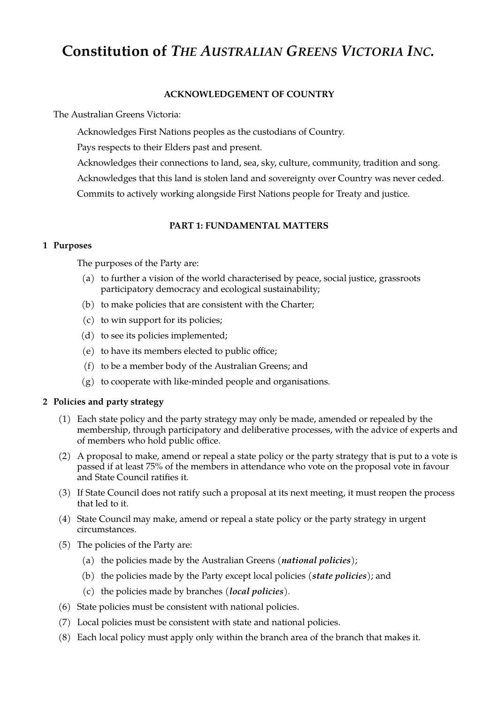# **Constitution of** *THE AUSTRALIAN GREENS VICTORIA INC.*

## <span id="page-2-0"></span>**ACKNOWLEDGEMENT OF COUNTRY**

The Australian Greens Victoria:

Acknowledges First Nations peoples as the custodians of Country.

Pays respects to their Elders past and present.

Acknowledges their connections to land, sea, sky, culture, community, tradition and song. Acknowledges that this land is stolen land and sovereignty over Country was never ceded. Commits to actively working alongside First Nations people for Treaty and justice.

## <span id="page-2-3"></span>**PART 1: FUNDAMENTAL MATTERS**

#### <span id="page-2-2"></span>**1 Purposes**

The purposes of the Party are:

- (a) to further a vision of the world characterised by peace, social justice, grassroots participatory democracy and ecological sustainability;
- (b) to make policies that are consistent with the Charter;
- (c) to win support for its policies;
- (d) to see its policies implemented;
- (e) to have its members elected to public office;
- (f) to be a member body of the Australian Greens; and
- (g) to cooperate with like-minded people and organisations.

## <span id="page-2-1"></span>**2 Policies and party strategy**

- (1) Each state policy and the party strategy may only be made, amended or repealed by the membership, through participatory and deliberative processes, with the advice of experts and of members who hold public office.
- (2) A proposal to make, amend or repeal a state policy or the party strategy that is put to a vote is passed if at least 75% of the members in attendance who vote on the proposal vote in favour and State Council ratifies it.
- (3) If State Council does not ratify such a proposal at its next meeting, it must reopen the process that led to it.
- <span id="page-2-4"></span>(4) State Council may make, amend or repeal a state policy or the party strategy in urgent circumstances.
- (5) The policies of the Party are:
	- (a) the policies made by the Australian Greens (*national policies*);
	- (b) the policies made by the Party except local policies (*state policies*); and
	- (c) the policies made by branches (*local policies*).
- (6) State policies must be consistent with national policies.
- (7) Local policies must be consistent with state and national policies.
- (8) Each local policy must apply only within the branch area of the branch that makes it.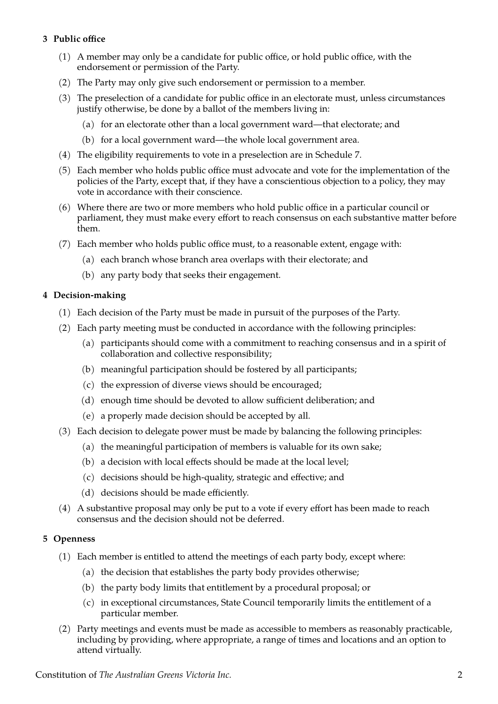# <span id="page-3-2"></span>**3 Public office**

- (1) A member may only be a candidate for public office, or hold public office, with the endorsement or permission of the Party.
- (2) The Party may only give such endorsement or permission to a member.
- (3) The preselection of a candidate for public office in an electorate must, unless circumstances justify otherwise, be done by a ballot of the members living in:
	- (a) for an electorate other than a local government ward—that electorate; and
	- (b) for a local government ward—the whole local government area.
- (4) The eligibility requirements to vote in a preselection are in Schedule [7.](#page-24-4)
- (5) Each member who holds public office must advocate and vote for the implementation of the policies of the Party, except that, if they have a conscientious objection to a policy, they may vote in accordance with their conscience.
- (6) Where there are two or more members who hold public office in a particular council or parliament, they must make every effort to reach consensus on each substantive matter before them.
- (7) Each member who holds public office must, to a reasonable extent, engage with:
	- (a) each branch whose branch area overlaps with their electorate; and
	- (b) any party body that seeks their engagement.

## <span id="page-3-1"></span>**4 Decision-making**

- (1) Each decision of the Party must be made in pursuit of the purposes of the Party.
- (2) Each party meeting must be conducted in accordance with the following principles:
	- (a) participants should come with a commitment to reaching consensus and in a spirit of collaboration and collective responsibility;
	- (b) meaningful participation should be fostered by all participants;
	- (c) the expression of diverse views should be encouraged;
	- (d) enough time should be devoted to allow sufficient deliberation; and
	- (e) a properly made decision should be accepted by all.
- (3) Each decision to delegate power must be made by balancing the following principles:
	- (a) the meaningful participation of members is valuable for its own sake;
	- (b) a decision with local effects should be made at the local level;
	- (c) decisions should be high-quality, strategic and effective; and
	- (d) decisions should be made efficiently.
- (4) A substantive proposal may only be put to a vote if every effort has been made to reach consensus and the decision should not be deferred.

#### <span id="page-3-0"></span>**5 Openness**

- (1) Each member is entitled to attend the meetings of each party body, except where:
	- (a) the decision that establishes the party body provides otherwise;
	- (b) the party body limits that entitlement by a procedural proposal; or
	- (c) in exceptional circumstances, State Council temporarily limits the entitlement of a particular member.
- (2) Party meetings and events must be made as accessible to members as reasonably practicable, including by providing, where appropriate, a range of times and locations and an option to attend virtually.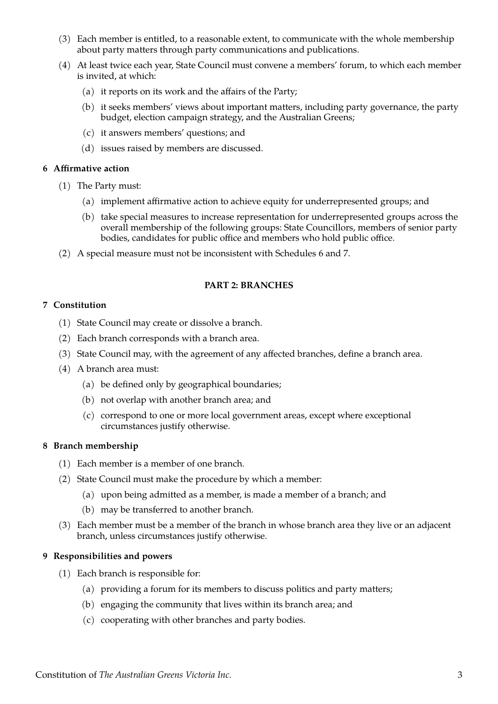- (3) Each member is entitled, to a reasonable extent, to communicate with the whole membership about party matters through party communications and publications.
- (4) At least twice each year, State Council must convene a members' forum, to which each member is invited, at which:
	- (a) it reports on its work and the affairs of the Party;
	- (b) it seeks members' views about important matters, including party governance, the party budget, election campaign strategy, and the Australian Greens;
	- (c) it answers members' questions; and
	- (d) issues raised by members are discussed.

## <span id="page-4-4"></span>**6 Affirmative action**

- (1) The Party must:
	- (a) implement affirmative action to achieve equity for underrepresented groups; and
	- (b) take special measures to increase representation for underrepresented groups across the overall membership of the following groups: State Councillors, members of senior party bodies, candidates for public office and members who hold public office.
- (2) A special measure must not be inconsistent with Schedules [6](#page-21-4) and [7](#page-24-4).

## <span id="page-4-3"></span>**PART 2: BRANCHES**

## <span id="page-4-2"></span>**7 Constitution**

- <span id="page-4-6"></span>(1) State Council may create or dissolve a branch.
- (2) Each branch corresponds with a branch area.
- <span id="page-4-5"></span>(3) State Council may, with the agreement of any affected branches, define a branch area.
- (4) A branch area must:
	- (a) be defined only by geographical boundaries;
	- (b) not overlap with another branch area; and
	- (c) correspond to one or more local government areas, except where exceptional circumstances justify otherwise.

#### <span id="page-4-1"></span>**8 Branch membership**

- (1) Each member is a member of one branch.
- (2) State Council must make the procedure by which a member:
	- (a) upon being admitted as a member, is made a member of a branch; and
	- (b) may be transferred to another branch.
- (3) Each member must be a member of the branch in whose branch area they live or an adjacent branch, unless circumstances justify otherwise.

#### <span id="page-4-0"></span>**9 Responsibilities and powers**

- (1) Each branch is responsible for:
	- (a) providing a forum for its members to discuss politics and party matters;
	- (b) engaging the community that lives within its branch area; and
	- (c) cooperating with other branches and party bodies.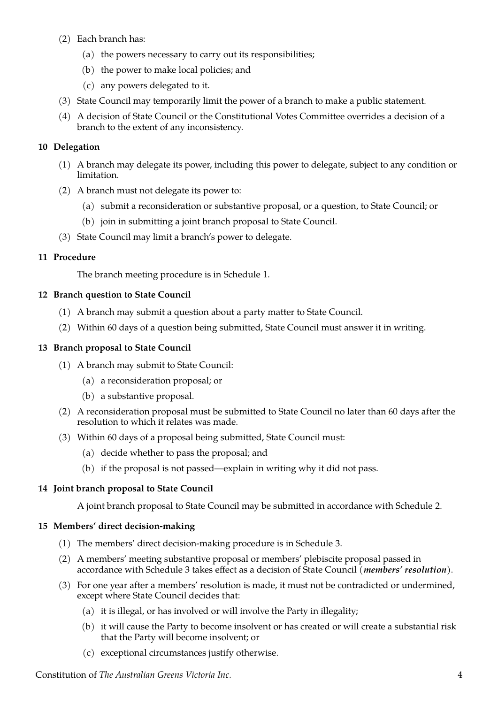- (2) Each branch has:
	- (a) the powers necessary to carry out its responsibilities;
	- (b) the power to make local policies; and
	- (c) any powers delegated to it.
- (3) State Council may temporarily limit the power of a branch to make a public statement.
- (4) A decision of State Council or the Constitutional Votes Committee overrides a decision of a branch to the extent of any inconsistency.

# <span id="page-5-5"></span>**10 Delegation**

- (1) A branch may delegate its power, including this power to delegate, subject to any condition or limitation.
- (2) A branch must not delegate its power to:
	- (a) submit a reconsideration or substantive proposal, or a question, to State Council; or
	- (b) join in submitting a joint branch proposal to State Council.
- (3) State Council may limit a branch's power to delegate.

# <span id="page-5-4"></span>**11 Procedure**

The branch meeting procedure is in Schedule [1](#page-13-6).

# <span id="page-5-3"></span>**12 Branch question to State Council**

- (1) A branch may submit a question about a party matter to State Council.
- <span id="page-5-8"></span>(2) Within 60 days of a question being submitted, State Council must answer it in writing.

# <span id="page-5-2"></span>**13 Branch proposal to State Council**

- (1) A branch may submit to State Council:
	- (a) a reconsideration proposal; or
	- (b) a substantive proposal.
- (2) A reconsideration proposal must be submitted to State Council no later than 60 days after the resolution to which it relates was made.
- <span id="page-5-7"></span>(3) Within 60 days of a proposal being submitted, State Council must:
	- (a) decide whether to pass the proposal; and
	- (b) if the proposal is not passed—explain in writing why it did not pass.

# <span id="page-5-1"></span>**14 Joint branch proposal to State Council**

A joint branch proposal to State Council may be submitted in accordance with Schedule [2](#page-14-4).

# <span id="page-5-0"></span>**15 Members' direct decision-making**

- (1) The members' direct decision-making procedure is in Schedule [3.](#page-15-2)
- (2) A members' meeting substantive proposal or members' plebiscite proposal passed in accordance with Schedule [3](#page-15-2) takes effect as a decision of State Council (*members' resolution*).
- <span id="page-5-6"></span>(3) For one year after a members' resolution is made, it must not be contradicted or undermined, except where State Council decides that:
	- (a) it is illegal, or has involved or will involve the Party in illegality;
	- (b) it will cause the Party to become insolvent or has created or will create a substantial risk that the Party will become insolvent; or
	- (c) exceptional circumstances justify otherwise.

Constitution of *The Australian Greens Victoria Inc.* 4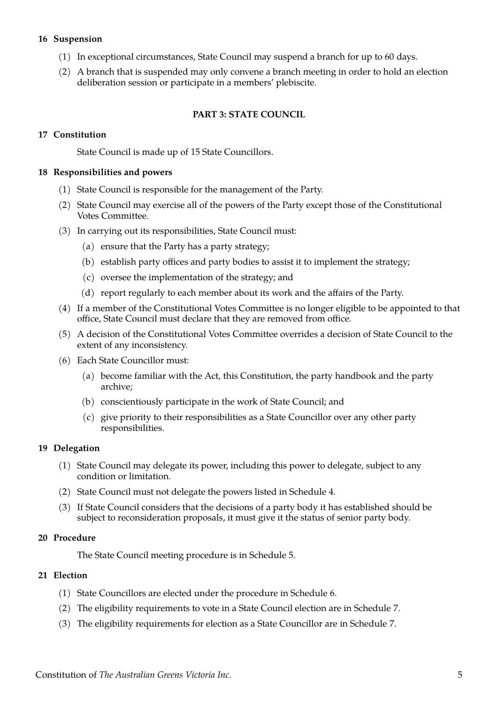## <span id="page-6-6"></span>**16 Suspension**

- <span id="page-6-8"></span>(1) In exceptional circumstances, State Council may suspend a branch for up to 60 days.
- (2) A branch that is suspended may only convene a branch meeting in order to hold an election deliberation session or participate in a members' plebiscite.

## <span id="page-6-5"></span>**PART 3: STATE COUNCIL**

## <span id="page-6-4"></span>**17 Constitution**

State Council is made up of 15 State Councillors.

#### <span id="page-6-3"></span>**18 Responsibilities and powers**

- (1) State Council is responsible for the management of the Party.
- (2) State Council may exercise all of the powers of the Party except those of the Constitutional Votes Committee.
- (3) In carrying out its responsibilities, State Council must:
	- (a) ensure that the Party has a party strategy;
	- (b) establish party offices and party bodies to assist it to implement the strategy;
	- (c) oversee the implementation of the strategy; and
	- (d) report regularly to each member about its work and the affairs of the Party.
- <span id="page-6-7"></span>(4) If a member of the Constitutional Votes Committee is no longer eligible to be appointed to that office, State Council must declare that they are removed from office.
- (5) A decision of the Constitutional Votes Committee overrides a decision of State Council to the extent of any inconsistency.
- (6) Each State Councillor must:
	- (a) become familiar with the Act, this Constitution, the party handbook and the party archive;
	- (b) conscientiously participate in the work of State Council; and
	- (c) give priority to their responsibilities as a State Councillor over any other party responsibilities.

#### <span id="page-6-2"></span>**19 Delegation**

- (1) State Council may delegate its power, including this power to delegate, subject to any condition or limitation.
- (2) State Council must not delegate the powers listed in Schedule [4.](#page-18-0)
- <span id="page-6-9"></span>(3) If State Council considers that the decisions of a party body it has established should be subject to reconsideration proposals, it must give it the status of senior party body.

#### <span id="page-6-1"></span>**20 Procedure**

The State Council meeting procedure is in Schedule [5.](#page-19-5)

#### <span id="page-6-0"></span>**21 Election**

- (1) State Councillors are elected under the procedure in Schedule [6](#page-21-4).
- <span id="page-6-10"></span>(2) The eligibility requirements to vote in a State Council election are in Schedule [7](#page-24-4).
- (3) The eligibility requirements for election as a State Councillor are in Schedule [7](#page-24-4).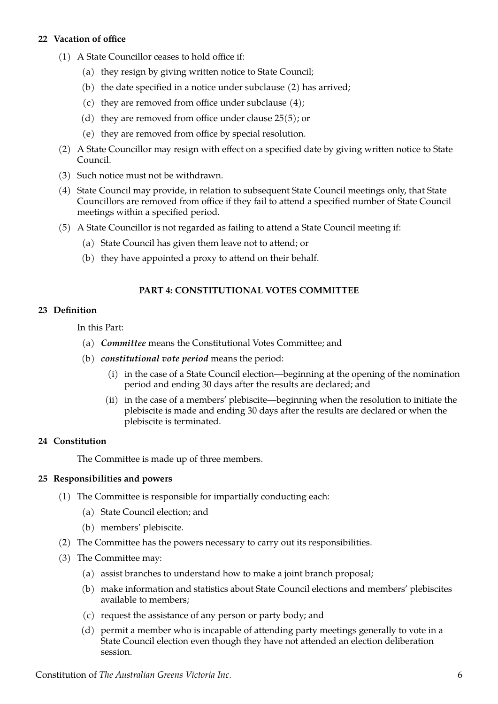# <span id="page-7-4"></span>**22 Vacation of office**

- (1) A State Councillor ceases to hold office if:
	- (a) they resign by giving written notice to State Council;
	- (b) the date specified in a notice under subclause [\(2\)](#page-7-6) has arrived;
	- (c) they are removed from office under subclause  $(4)$ ;
	- (d) they are removed from office under clause [25\(5\)](#page-8-4); or
	- (e) they are removed from office by special resolution.
- <span id="page-7-6"></span>(2) A State Councillor may resign with effect on a specified date by giving written notice to State Council.
- (3) Such notice must not be withdrawn.
- <span id="page-7-5"></span>(4) State Council may provide, in relation to subsequent State Council meetings only, that State Councillors are removed from office if they fail to attend a specified number of State Council meetings within a specified period.
- (5) A State Councillor is not regarded as failing to attend a State Council meeting if:
	- (a) State Council has given them leave not to attend; or
	- (b) they have appointed a proxy to attend on their behalf.

# <span id="page-7-3"></span>**PART 4: CONSTITUTIONAL VOTES COMMITTEE**

## <span id="page-7-2"></span>**23 Definition**

In this Part:

- (a) *Committee* means the Constitutional Votes Committee; and
- (b) *constitutional vote period* means the period:
	- (i) in the case of a State Council election—beginning at the opening of the nomination period and ending 30 days after the results are declared; and
	- (ii) in the case of a members' plebiscite—beginning when the resolution to initiate the plebiscite is made and ending 30 days after the results are declared or when the plebiscite is terminated.

#### <span id="page-7-1"></span>**24 Constitution**

The Committee is made up of three members.

#### <span id="page-7-0"></span>**25 Responsibilities and powers**

- (1) The Committee is responsible for impartially conducting each:
	- (a) State Council election; and
	- (b) members' plebiscite.
- (2) The Committee has the powers necessary to carry out its responsibilities.
- (3) The Committee may:
	- (a) assist branches to understand how to make a joint branch proposal;
	- (b) make information and statistics about State Council elections and members' plebiscites available to members;
	- (c) request the assistance of any person or party body; and
	- (d) permit a member who is incapable of attending party meetings generally to vote in a State Council election even though they have not attended an election deliberation session.

Constitution of *The Australian Greens Victoria Inc.* 6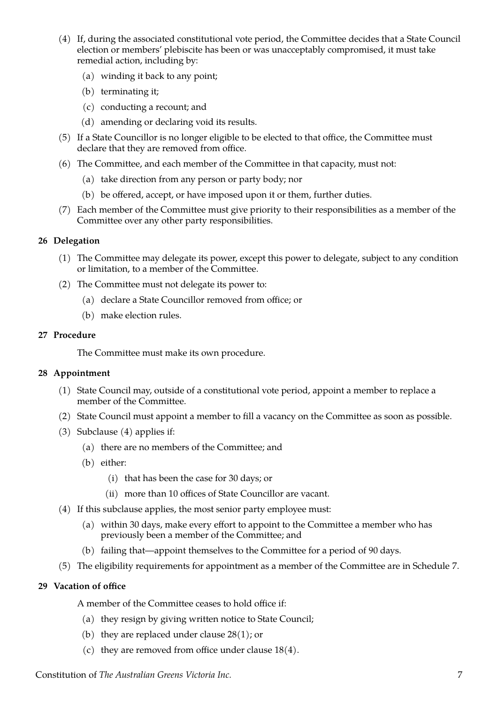- (4) If, during the associated constitutional vote period, the Committee decides that a State Council election or members' plebiscite has been or was unacceptably compromised, it must take remedial action, including by:
	- (a) winding it back to any point;
	- (b) terminating it;
	- (c) conducting a recount; and
	- (d) amending or declaring void its results.
- <span id="page-8-4"></span>(5) If a State Councillor is no longer eligible to be elected to that office, the Committee must declare that they are removed from office.
- (6) The Committee, and each member of the Committee in that capacity, must not:
	- (a) take direction from any person or party body; nor
	- (b) be offered, accept, or have imposed upon it or them, further duties.
- (7) Each member of the Committee must give priority to their responsibilities as a member of the Committee over any other party responsibilities.

# <span id="page-8-3"></span>**26 Delegation**

- (1) The Committee may delegate its power, except this power to delegate, subject to any condition or limitation, to a member of the Committee.
- (2) The Committee must not delegate its power to:
	- (a) declare a State Councillor removed from office; or
	- (b) make election rules.

# <span id="page-8-2"></span>**27 Procedure**

The Committee must make its own procedure.

# <span id="page-8-1"></span>**28 Appointment**

- <span id="page-8-5"></span>(1) State Council may, outside of a constitutional vote period, appoint a member to replace a member of the Committee.
- <span id="page-8-7"></span>(2) State Council must appoint a member to fill a vacancy on the Committee as soon as possible.
- (3) Subclause [\(4\)](#page-8-6) applies if:
	- (a) there are no members of the Committee; and
	- (b) either:
		- (i) that has been the case for 30 days; or
		- (ii) more than 10 offices of State Councillor are vacant.
- <span id="page-8-6"></span>(4) If this subclause applies, the most senior party employee must:
	- (a) within 30 days, make every effort to appoint to the Committee a member who has previously been a member of the Committee; and
	- (b) failing that—appoint themselves to the Committee for a period of 90 days.
- <span id="page-8-8"></span>(5) The eligibility requirements for appointment as a member of the Committee are in Schedule [7](#page-24-4).

# <span id="page-8-0"></span>**29 Vacation of office**

A member of the Committee ceases to hold office if:

- (a) they resign by giving written notice to State Council;
- (b) they are replaced under clause  $28(1)$ ; or
- (c) they are removed from office under clause  $18(4)$ .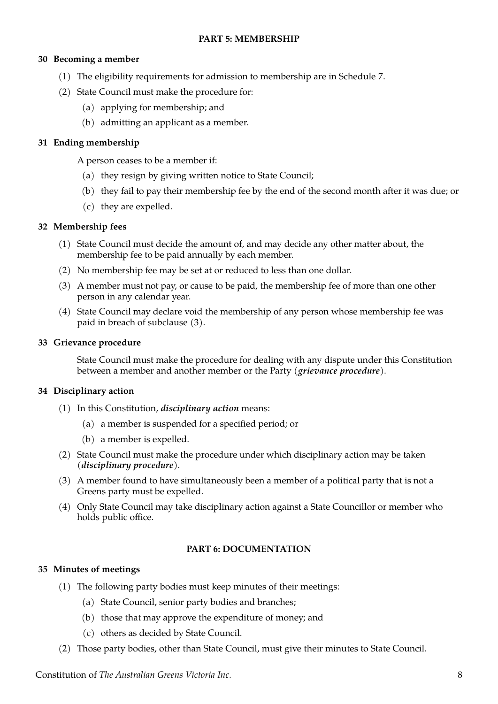# <span id="page-9-7"></span>**PART 5: MEMBERSHIP**

# <span id="page-9-6"></span>**30 Becoming a member**

- (1) The eligibility requirements for admission to membership are in Schedule [7](#page-24-4).
- (2) State Council must make the procedure for:
	- (a) applying for membership; and
	- (b) admitting an applicant as a member.

# <span id="page-9-5"></span>**31 Ending membership**

A person ceases to be a member if:

- (a) they resign by giving written notice to State Council;
- (b) they fail to pay their membership fee by the end of the second month after it was due; or
- (c) they are expelled.

# <span id="page-9-4"></span>**32 Membership fees**

- (1) State Council must decide the amount of, and may decide any other matter about, the membership fee to be paid annually by each member.
- (2) No membership fee may be set at or reduced to less than one dollar.
- <span id="page-9-8"></span>(3) A member must not pay, or cause to be paid, the membership fee of more than one other person in any calendar year.
- (4) State Council may declare void the membership of any person whose membership fee was paid in breach of subclause [\(3\).](#page-9-8)

## <span id="page-9-3"></span>**33 Grievance procedure**

State Council must make the procedure for dealing with any dispute under this Constitution between a member and another member or the Party (*grievance procedure*).

## <span id="page-9-2"></span>**34 Disciplinary action**

- <span id="page-9-11"></span>(1) In this Constitution, *disciplinary action* means:
	- (a) a member is suspended for a specified period; or
	- (b) a member is expelled.
- <span id="page-9-10"></span>(2) State Council must make the procedure under which disciplinary action may be taken (*disciplinary procedure*).
- (3) A member found to have simultaneously been a member of a political party that is not a Greens party must be expelled.
- <span id="page-9-9"></span>(4) Only State Council may take disciplinary action against a State Councillor or member who holds public office.

# <span id="page-9-1"></span>**PART 6: DOCUMENTATION**

# <span id="page-9-0"></span>**35 Minutes of meetings**

- (1) The following party bodies must keep minutes of their meetings:
	- (a) State Council, senior party bodies and branches;
	- (b) those that may approve the expenditure of money; and
	- (c) others as decided by State Council.
- (2) Those party bodies, other than State Council, must give their minutes to State Council.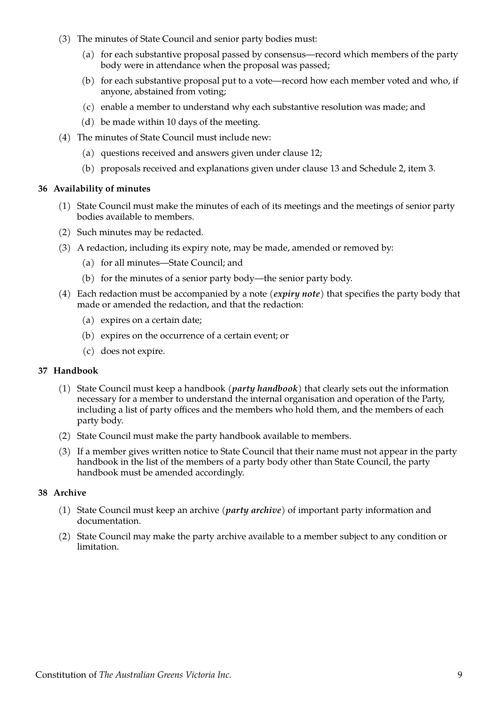- (3) The minutes of State Council and senior party bodies must:
	- (a) for each substantive proposal passed by consensus—record which members of the party body were in attendance when the proposal was passed;
	- (b) for each substantive proposal put to a vote—record how each member voted and who, if anyone, abstained from voting;
	- (c) enable a member to understand why each substantive resolution was made; and
	- (d) be made within 10 days of the meeting.
- (4) The minutes of State Council must include new:
	- (a) questions received and answers given under clause [12](#page-5-3);
	- (b) proposals received and explanations given under clause [13](#page-5-2) and Schedule [2](#page-14-4), item [3](#page-14-1).

## <span id="page-10-2"></span>**36 Availability of minutes**

- (1) State Council must make the minutes of each of its meetings and the meetings of senior party bodies available to members.
- (2) Such minutes may be redacted.
- (3) A redaction, including its expiry note, may be made, amended or removed by:
	- (a) for all minutes—State Council; and
	- (b) for the minutes of a senior party body—the senior party body.
- (4) Each redaction must be accompanied by a note (*expiry note*) that specifies the party body that made or amended the redaction, and that the redaction:
	- (a) expires on a certain date;
	- (b) expires on the occurrence of a certain event; or
	- (c) does not expire.

#### <span id="page-10-1"></span>**37 Handbook**

- (1) State Council must keep a handbook (*party handbook*) that clearly sets out the information necessary for a member to understand the internal organisation and operation of the Party, including a list of party offices and the members who hold them, and the members of each party body.
- (2) State Council must make the party handbook available to members.
- (3) If a member gives written notice to State Council that their name must not appear in the party handbook in the list of the members of a party body other than State Council, the party handbook must be amended accordingly.

#### <span id="page-10-0"></span>**38 Archive**

- (1) State Council must keep an archive (*party archive*) of important party information and documentation.
- (2) State Council may make the party archive available to a member subject to any condition or limitation.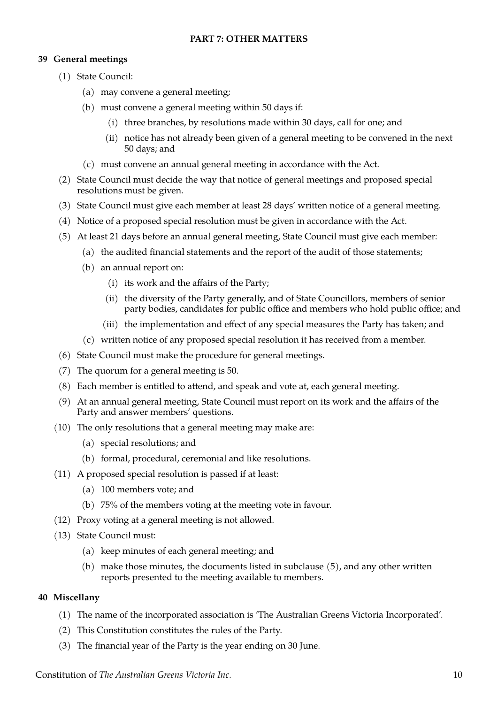# <span id="page-11-2"></span>**PART 7: OTHER MATTERS**

# <span id="page-11-1"></span>**39 General meetings**

- (1) State Council:
	- (a) may convene a general meeting;
	- (b) must convene a general meeting within 50 days if:
		- (i) three branches, by resolutions made within 30 days, call for one; and
		- (ii) notice has not already been given of a general meeting to be convened in the next 50 days; and
	- (c) must convene an annual general meeting in accordance with the Act.
- (2) State Council must decide the way that notice of general meetings and proposed special resolutions must be given.
- (3) State Council must give each member at least 28 days' written notice of a general meeting.
- (4) Notice of a proposed special resolution must be given in accordance with the Act.
- <span id="page-11-3"></span>(5) At least 21 days before an annual general meeting, State Council must give each member:
	- (a) the audited financial statements and the report of the audit of those statements;
	- (b) an annual report on:
		- (i) its work and the affairs of the Party;
		- (ii) the diversity of the Party generally, and of State Councillors, members of senior party bodies, candidates for public office and members who hold public office; and
		- (iii) the implementation and effect of any special measures the Party has taken; and
	- (c) written notice of any proposed special resolution it has received from a member.
- (6) State Council must make the procedure for general meetings.
- (7) The quorum for a general meeting is 50.
- (8) Each member is entitled to attend, and speak and vote at, each general meeting.
- (9) At an annual general meeting, State Council must report on its work and the affairs of the Party and answer members' questions.
- (10) The only resolutions that a general meeting may make are:
	- (a) special resolutions; and
	- (b) formal, procedural, ceremonial and like resolutions.
- <span id="page-11-4"></span>(11) A proposed special resolution is passed if at least:
	- (a) 100 members vote; and
	- (b) 75% of the members voting at the meeting vote in favour.
- (12) Proxy voting at a general meeting is not allowed.
- (13) State Council must:
	- (a) keep minutes of each general meeting; and
	- (b) make those minutes, the documents listed in subclause [\(5\),](#page-11-3) and any other written reports presented to the meeting available to members.

# <span id="page-11-0"></span>**40 Miscellany**

- <span id="page-11-5"></span>(1) The name of the incorporated association is 'The Australian Greens Victoria Incorporated'.
- (2) This Constitution constitutes the rules of the Party.
- (3) The financial year of the Party is the year ending on 30 June.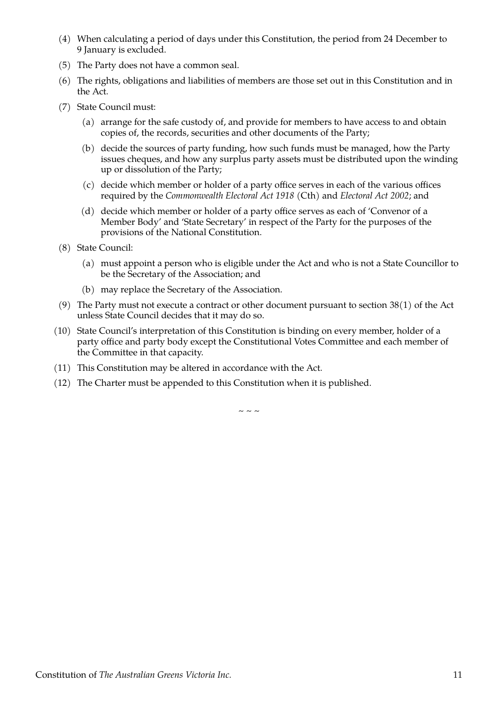- (4) When calculating a period of days under this Constitution, the period from 24 December to 9 January is excluded.
- (5) The Party does not have a common seal.
- (6) The rights, obligations and liabilities of members are those set out in this Constitution and in the Act.
- (7) State Council must:
	- (a) arrange for the safe custody of, and provide for members to have access to and obtain copies of, the records, securities and other documents of the Party;
	- (b) decide the sources of party funding, how such funds must be managed, how the Party issues cheques, and how any surplus party assets must be distributed upon the winding up or dissolution of the Party;
	- (c) decide which member or holder of a party office serves in each of the various offices required by the *Commonwealth Electoral Act 1918* (Cth) and *Electoral Act 2002*; and
	- (d) decide which member or holder of a party office serves as each of 'Convenor of a Member Body' and 'State Secretary' in respect of the Party for the purposes of the provisions of the National Constitution.
- <span id="page-12-0"></span>(8) State Council:
	- (a) must appoint a person who is eligible under the Act and who is not a State Councillor to be the Secretary of the Association; and
	- (b) may replace the Secretary of the Association.
- (9) The Party must not execute a contract or other document pursuant to section  $38(1)$  of the Act unless State Council decides that it may do so.
- (10) State Council's interpretation of this Constitution is binding on every member, holder of a party office and party body except the Constitutional Votes Committee and each member of the Committee in that capacity.
- (11) This Constitution may be altered in accordance with the Act.
- (12) The Charter must be appended to this Constitution when it is published.

 $\sim$   $\sim$   $\sim$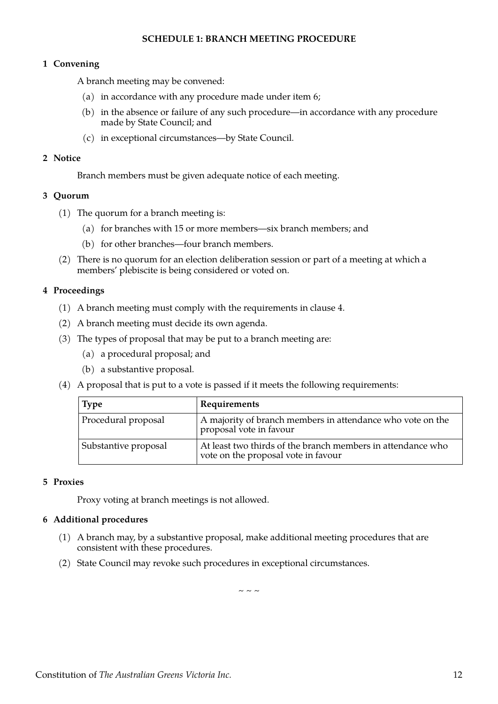# <span id="page-13-6"></span>**SCHEDULE 1: BRANCH MEETING PROCEDURE**

## <span id="page-13-5"></span>**1 Convening**

A branch meeting may be convened:

- (a) in accordance with any procedure made under item [6](#page-13-0);
- (b) in the absence or failure of any such procedure—in accordance with any procedure made by State Council; and
- (c) in exceptional circumstances—by State Council.

#### <span id="page-13-4"></span>**2 Notice**

Branch members must be given adequate notice of each meeting.

## <span id="page-13-3"></span>**3 Quorum**

- (1) The quorum for a branch meeting is:
	- (a) for branches with 15 or more members—six branch members; and
	- (b) for other branches—four branch members.
- (2) There is no quorum for an election deliberation session or part of a meeting at which a members' plebiscite is being considered or voted on.

## <span id="page-13-2"></span>**4 Proceedings**

- (1) A branch meeting must comply with the requirements in clause [4.](#page-3-1)
- (2) A branch meeting must decide its own agenda.
- (3) The types of proposal that may be put to a branch meeting are:
	- (a) a procedural proposal; and
	- (b) a substantive proposal.
- (4) A proposal that is put to a vote is passed if it meets the following requirements:

| <b>Type</b>          | Requirements                                                                                       |
|----------------------|----------------------------------------------------------------------------------------------------|
| Procedural proposal  | A majority of branch members in attendance who vote on the<br>proposal vote in favour              |
| Substantive proposal | At least two thirds of the branch members in attendance who<br>vote on the proposal vote in favour |

## <span id="page-13-1"></span>**5 Proxies**

Proxy voting at branch meetings is not allowed.

#### <span id="page-13-0"></span>**6 Additional procedures**

- (1) A branch may, by a substantive proposal, make additional meeting procedures that are consistent with these procedures.
- (2) State Council may revoke such procedures in exceptional circumstances.

 $\sim$  ~ ~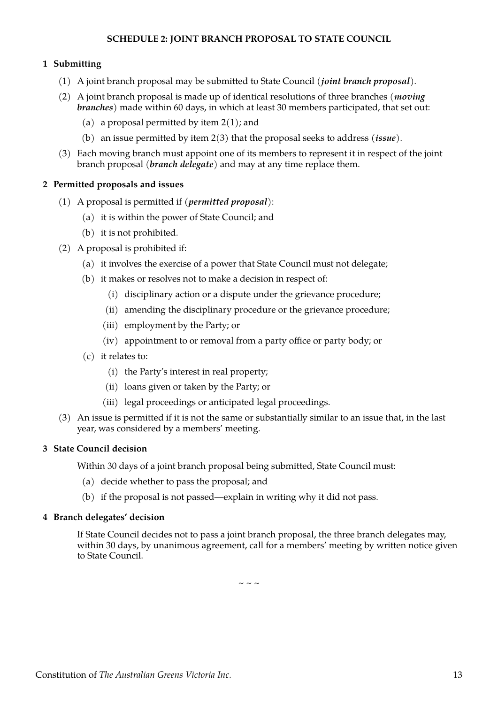# <span id="page-14-4"></span>**SCHEDULE 2: JOINT BRANCH PROPOSAL TO STATE COUNCIL**

# <span id="page-14-3"></span>**1 Submitting**

- (1) A joint branch proposal may be submitted to State Council (*joint branch proposal*).
- (2) A joint branch proposal is made up of identical resolutions of three branches (*moving branches*) made within 60 days, in which at least 30 members participated, that set out:
	- (a) a proposal permitted by item  $2(1)$ ; and
	- (b) an issue permitted by item [2\(3\)](#page-14-5) that the proposal seeks to address (*issue*).
- (3) Each moving branch must appoint one of its members to represent it in respect of the joint branch proposal (*branch delegate*) and may at any time replace them.

# <span id="page-14-2"></span>**2 Permitted proposals and issues**

- <span id="page-14-6"></span>(1) A proposal is permitted if (*permitted proposal*):
	- (a) it is within the power of State Council; and
	- (b) it is not prohibited.
- (2) A proposal is prohibited if:
	- (a) it involves the exercise of a power that State Council must not delegate;
	- (b) it makes or resolves not to make a decision in respect of:
		- (i) disciplinary action or a dispute under the grievance procedure;
		- (ii) amending the disciplinary procedure or the grievance procedure;
		- (iii) employment by the Party; or
		- (iv) appointment to or removal from a party office or party body; or
	- (c) it relates to:
		- (i) the Party's interest in real property;
		- (ii) loans given or taken by the Party; or
		- (iii) legal proceedings or anticipated legal proceedings.
- <span id="page-14-5"></span>(3) An issue is permitted if it is not the same or substantially similar to an issue that, in the last year, was considered by a members' meeting.

#### <span id="page-14-1"></span>**3 State Council decision**

Within 30 days of a joint branch proposal being submitted, State Council must:

- (a) decide whether to pass the proposal; and
- (b) if the proposal is not passed—explain in writing why it did not pass.

# <span id="page-14-0"></span>**4 Branch delegates' decision**

If State Council decides not to pass a joint branch proposal, the three branch delegates may, within 30 days, by unanimous agreement, call for a members' meeting by written notice given to State Council.

 $\sim$  ~ ~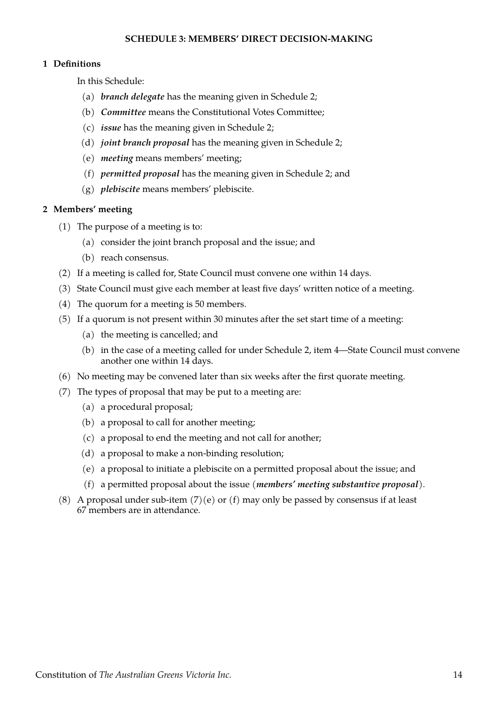## <span id="page-15-2"></span>**SCHEDULE 3: MEMBERS' DIRECT DECISION-MAKING**

## <span id="page-15-1"></span>**1 Definitions**

In this Schedule:

- (a) *branch delegate* has the meaning given in Schedule [2;](#page-14-4)
- (b) *Committee* means the Constitutional Votes Committee;
- (c) *issue* has the meaning given in Schedule [2;](#page-14-4)
- (d) *joint branch proposal* has the meaning given in Schedule [2](#page-14-4);
- (e) *meeting* means members' meeting;
- (f) *permitted proposal* has the meaning given in Schedule [2;](#page-14-4) and
- (g) *plebiscite* means members' plebiscite.

#### <span id="page-15-0"></span>**2 Members' meeting**

- (1) The purpose of a meeting is to:
	- (a) consider the joint branch proposal and the issue; and
	- (b) reach consensus.
- (2) If a meeting is called for, State Council must convene one within 14 days.
- (3) State Council must give each member at least five days' written notice of a meeting.
- (4) The quorum for a meeting is 50 members.
- (5) If a quorum is not present within 30 minutes after the set start time of a meeting:
	- (a) the meeting is cancelled; and
	- (b) in the case of a meeting called for under Schedule [2,](#page-14-4) item [4](#page-14-0)—State Council must convene another one within 14 days.
- (6) No meeting may be convened later than six weeks after the first quorate meeting.
- (7) The types of proposal that may be put to a meeting are:
	- (a) a procedural proposal;
	- (b) a proposal to call for another meeting;
	- (c) a proposal to end the meeting and not call for another;
	- (d) a proposal to make a non-binding resolution;
	- (e) a proposal to initiate a plebiscite on a permitted proposal about the issue; and
	- (f) a permitted proposal about the issue (*members' meeting substantive proposal*).
- <span id="page-15-4"></span><span id="page-15-3"></span>(8) A proposal under sub-item  $(7)(e)$  or [\(f\)](#page-15-3) may only be passed by consensus if at least 67 members are in attendance.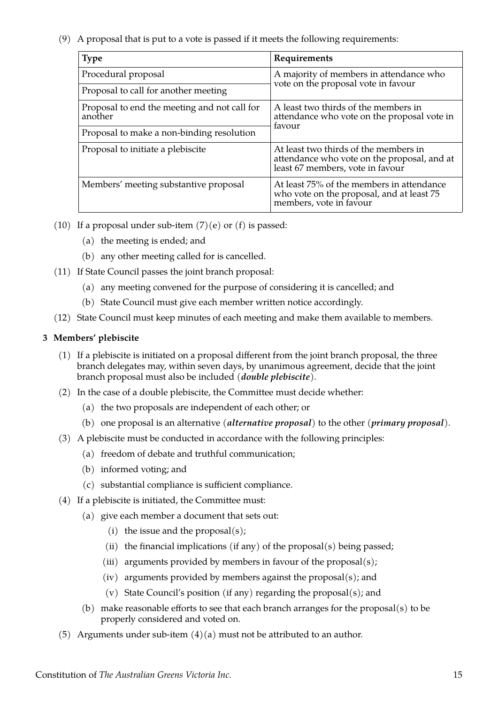(9) A proposal that is put to a vote is passed if it meets the following requirements:

| <b>Type</b>                                             | Requirements                                                                                                             |  |
|---------------------------------------------------------|--------------------------------------------------------------------------------------------------------------------------|--|
| Procedural proposal                                     | A majority of members in attendance who<br>vote on the proposal vote in favour                                           |  |
| Proposal to call for another meeting                    |                                                                                                                          |  |
| Proposal to end the meeting and not call for<br>another | A least two thirds of the members in<br>attendance who vote on the proposal vote in                                      |  |
| Proposal to make a non-binding resolution               | favour                                                                                                                   |  |
| Proposal to initiate a plebiscite                       | At least two thirds of the members in<br>attendance who vote on the proposal, and at<br>least 67 members, vote in favour |  |
| Members' meeting substantive proposal                   | At least 75% of the members in attendance<br>who vote on the proposal, and at least 75<br>members, vote in favour        |  |

- (10) If a proposal under sub-item  $(7)(e)$  or  $(f)$  is passed:
	- (a) the meeting is ended; and
	- (b) any other meeting called for is cancelled.
- (11) If State Council passes the joint branch proposal:
	- (a) any meeting convened for the purpose of considering it is cancelled; and
	- (b) State Council must give each member written notice accordingly.
- (12) State Council must keep minutes of each meeting and make them available to members.

# <span id="page-16-0"></span>**3 Members' plebiscite**

- (1) If a plebiscite is initiated on a proposal different from the joint branch proposal, the three branch delegates may, within seven days, by unanimous agreement, decide that the joint branch proposal must also be included (*double plebiscite*).
- (2) In the case of a double plebiscite, the Committee must decide whether:
	- (a) the two proposals are independent of each other; or
	- (b) one proposal is an alternative (*alternative proposal*) to the other (*primary proposal*).
- (3) A plebiscite must be conducted in accordance with the following principles:
	- (a) freedom of debate and truthful communication;
	- (b) informed voting; and
	- (c) substantial compliance is sufficient compliance.
- <span id="page-16-1"></span>(4) If a plebiscite is initiated, the Committee must:
	- (a) give each member a document that sets out:
		- (i) the issue and the proposal $(s)$ ;
		- (ii) the financial implications (if any) of the proposal(s) being passed;
		- (iii) arguments provided by members in favour of the proposal(s);
		- (iv) arguments provided by members against the proposal(s); and
		- (v) State Council's position (if any) regarding the proposal(s); and
	- (b) make reasonable efforts to see that each branch arranges for the proposal(s) to be properly considered and voted on.
- (5) Arguments under sub-item  $(4)(a)$  must not be attributed to an author.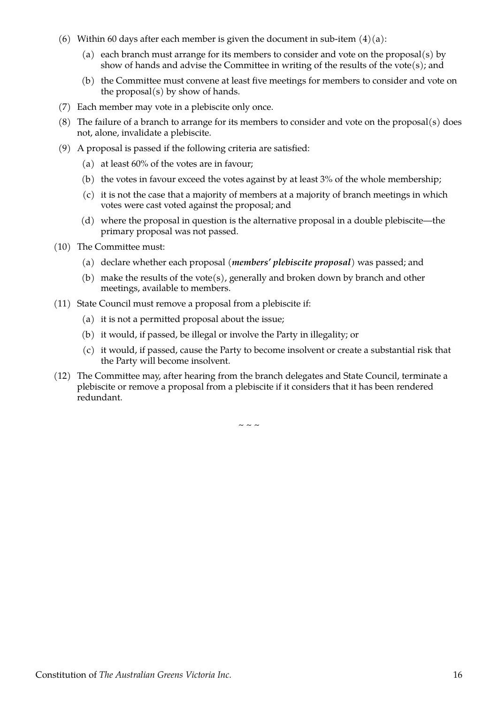- (6) Within 60 days after each member is given the document in sub-item  $(4)(a)$ :
	- (a) each branch must arrange for its members to consider and vote on the proposal(s) by show of hands and advise the Committee in writing of the results of the vote(s); and
	- (b) the Committee must convene at least five meetings for members to consider and vote on the proposal $(s)$  by show of hands.
- (7) Each member may vote in a plebiscite only once.
- (8) The failure of a branch to arrange for its members to consider and vote on the proposal(s) does not, alone, invalidate a plebiscite.
- (9) A proposal is passed if the following criteria are satisfied:
	- (a) at least 60% of the votes are in favour;
	- (b) the votes in favour exceed the votes against by at least 3% of the whole membership;
	- (c) it is not the case that a majority of members at a majority of branch meetings in which votes were cast voted against the proposal; and
	- (d) where the proposal in question is the alternative proposal in a double plebiscite—the primary proposal was not passed.
- <span id="page-17-1"></span>(10) The Committee must:
	- (a) declare whether each proposal (*members' plebiscite proposal*) was passed; and
	- (b) make the results of the vote(s), generally and broken down by branch and other meetings, available to members.
- <span id="page-17-0"></span>(11) State Council must remove a proposal from a plebiscite if:
	- (a) it is not a permitted proposal about the issue;
	- (b) it would, if passed, be illegal or involve the Party in illegality; or
	- (c) it would, if passed, cause the Party to become insolvent or create a substantial risk that the Party will become insolvent.
- (12) The Committee may, after hearing from the branch delegates and State Council, terminate a plebiscite or remove a proposal from a plebiscite if it considers that it has been rendered redundant.

 $\sim$  ~ ~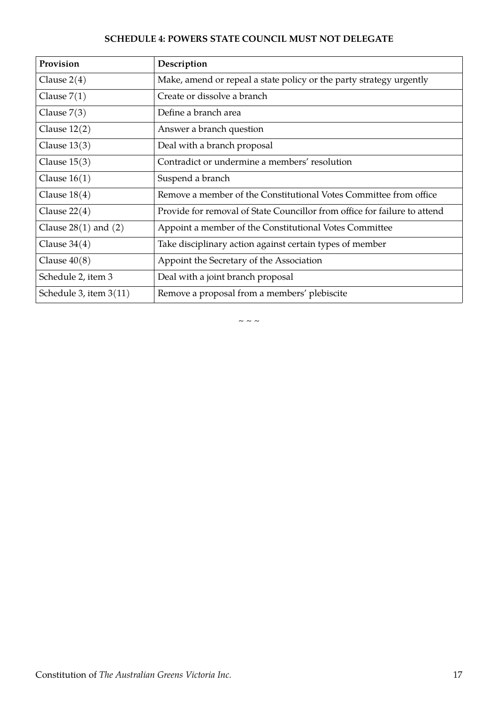# <span id="page-18-0"></span>**SCHEDULE 4: POWERS STATE COUNCIL MUST NOT DELEGATE**

| Provision                | Description                                                               |
|--------------------------|---------------------------------------------------------------------------|
| Clause $2(4)$            | Make, amend or repeal a state policy or the party strategy urgently       |
| Clause $7(1)$            | Create or dissolve a branch                                               |
| Clause $7(3)$            | Define a branch area                                                      |
| Clause $12(2)$           | Answer a branch question                                                  |
| Clause $13(3)$           | Deal with a branch proposal                                               |
| Clause $15(3)$           | Contradict or undermine a members' resolution                             |
| Clause $16(1)$           | Suspend a branch                                                          |
| Clause $18(4)$           | Remove a member of the Constitutional Votes Committee from office         |
| Clause $22(4)$           | Provide for removal of State Councillor from office for failure to attend |
| Clause $28(1)$ and $(2)$ | Appoint a member of the Constitutional Votes Committee                    |
| Clause $34(4)$           | Take disciplinary action against certain types of member                  |
| Clause $40(8)$           | Appoint the Secretary of the Association                                  |
| Schedule 2, item 3       | Deal with a joint branch proposal                                         |
| Schedule 3, item $3(11)$ | Remove a proposal from a members' plebiscite                              |

 $\sim$   $\sim$   $\sim$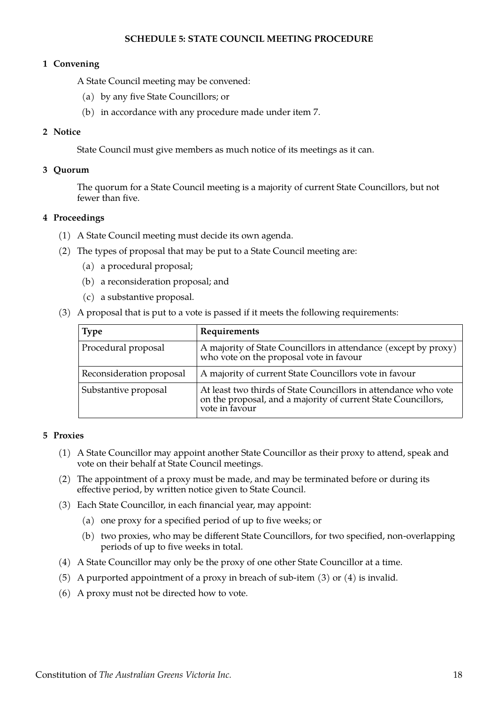# <span id="page-19-5"></span>**SCHEDULE 5: STATE COUNCIL MEETING PROCEDURE**

## <span id="page-19-4"></span>**1 Convening**

A State Council meeting may be convened:

- (a) by any five State Councillors; or
- (b) in accordance with any procedure made under item [7](#page-20-0).

# <span id="page-19-3"></span>**2 Notice**

State Council must give members as much notice of its meetings as it can.

## <span id="page-19-2"></span>**3 Quorum**

The quorum for a State Council meeting is a majority of current State Councillors, but not fewer than five.

## <span id="page-19-1"></span>**4 Proceedings**

- (1) A State Council meeting must decide its own agenda.
- (2) The types of proposal that may be put to a State Council meeting are:
	- (a) a procedural proposal;
	- (b) a reconsideration proposal; and
	- (c) a substantive proposal.
- (3) A proposal that is put to a vote is passed if it meets the following requirements:

| <b>Type</b>              | Requirements                                                                                                                                       |
|--------------------------|----------------------------------------------------------------------------------------------------------------------------------------------------|
| Procedural proposal      | A majority of State Councillors in attendance (except by proxy)<br>who vote on the proposal vote in favour                                         |
| Reconsideration proposal | A majority of current State Councillors vote in favour                                                                                             |
| Substantive proposal     | At least two thirds of State Councillors in attendance who vote<br>on the proposal, and a majority of current State Councillors,<br>vote in favour |

#### <span id="page-19-0"></span>**5 Proxies**

- (1) A State Councillor may appoint another State Councillor as their proxy to attend, speak and vote on their behalf at State Council meetings.
- (2) The appointment of a proxy must be made, and may be terminated before or during its effective period, by written notice given to State Council.
- <span id="page-19-7"></span>(3) Each State Councillor, in each financial year, may appoint:
	- (a) one proxy for a specified period of up to five weeks; or
	- (b) two proxies, who may be different State Councillors, for two specified, non-overlapping periods of up to five weeks in total.
- <span id="page-19-6"></span>(4) A State Councillor may only be the proxy of one other State Councillor at a time.
- (5) A purported appointment of a proxy in breach of sub-item [\(3\)](#page-19-7) or [\(4\)](#page-19-6) is invalid.
- (6) A proxy must not be directed how to vote.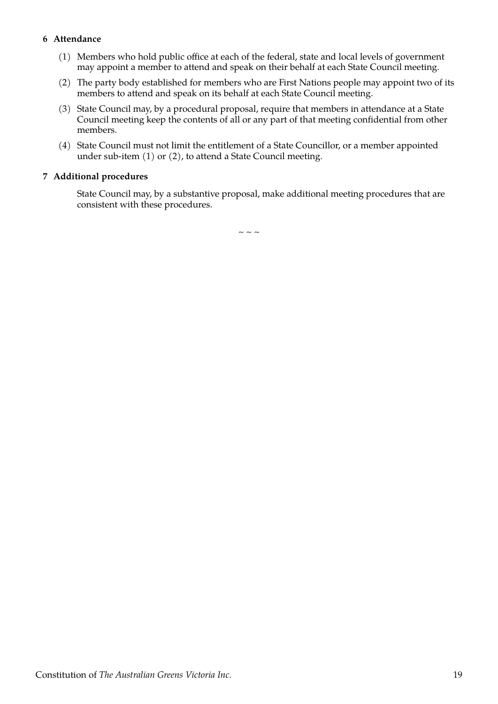# <span id="page-20-1"></span>**6 Attendance**

- <span id="page-20-3"></span>(1) Members who hold public office at each of the federal, state and local levels of government may appoint a member to attend and speak on their behalf at each State Council meeting.
- <span id="page-20-2"></span>(2) The party body established for members who are First Nations people may appoint two of its members to attend and speak on its behalf at each State Council meeting.
- (3) State Council may, by a procedural proposal, require that members in attendance at a State Council meeting keep the contents of all or any part of that meeting confidential from other members.
- (4) State Council must not limit the entitlement of a State Councillor, or a member appointed under sub-item [\(1\)](#page-20-3) or [\(2\),](#page-20-2) to attend a State Council meeting.

# <span id="page-20-0"></span>**7 Additional procedures**

State Council may, by a substantive proposal, make additional meeting procedures that are consistent with these procedures.

 $\sim$   $\sim$   $\sim$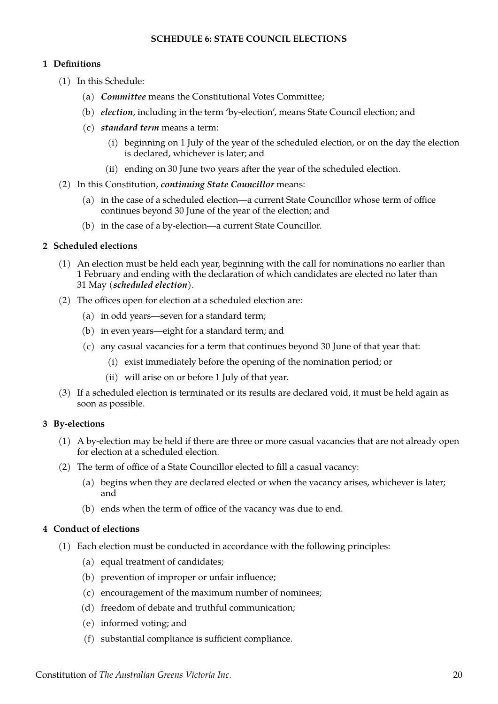# <span id="page-21-4"></span>**SCHEDULE 6: STATE COUNCIL ELECTIONS**

# <span id="page-21-3"></span>**1 Definitions**

- (1) In this Schedule:
	- (a) *Committee* means the Constitutional Votes Committee;
	- (b) *election*, including in the term 'by-election', means State Council election; and
	- (c) *standard term* means a term:
		- (i) beginning on 1 July of the year of the scheduled election, or on the day the election is declared, whichever is later; and
		- (ii) ending on 30 June two years after the year of the scheduled election.
- <span id="page-21-7"></span>(2) In this Constitution, *continuing State Councillor* means:
	- (a) in the case of a scheduled election—a current State Councillor whose term of office continues beyond 30 June of the year of the election; and
	- (b) in the case of a by-election—a current State Councillor.

# <span id="page-21-2"></span>**2 Scheduled elections**

- <span id="page-21-6"></span>(1) An election must be held each year, beginning with the call for nominations no earlier than 1 February and ending with the declaration of which candidates are elected no later than 31 May (*scheduled election*).
- <span id="page-21-8"></span>(2) The offices open for election at a scheduled election are:
	- (a) in odd years—seven for a standard term;
	- (b) in even years—eight for a standard term; and
	- (c) any casual vacancies for a term that continues beyond 30 June of that year that:
		- (i) exist immediately before the opening of the nomination period; or
		- (ii) will arise on or before 1 July of that year.
- (3) If a scheduled election is terminated or its results are declared void, it must be held again as soon as possible.

# <span id="page-21-1"></span>**3 By-elections**

- (1) A by-election may be held if there are three or more casual vacancies that are not already open for election at a scheduled election.
- (2) The term of office of a State Councillor elected to fill a casual vacancy:
	- (a) begins when they are declared elected or when the vacancy arises, whichever is later; and
	- (b) ends when the term of office of the vacancy was due to end.

# <span id="page-21-0"></span>**4 Conduct of elections**

- <span id="page-21-5"></span>(1) Each election must be conducted in accordance with the following principles:
	- (a) equal treatment of candidates;
	- (b) prevention of improper or unfair influence;
	- (c) encouragement of the maximum number of nominees;
	- (d) freedom of debate and truthful communication;
	- (e) informed voting; and
	- (f) substantial compliance is sufficient compliance.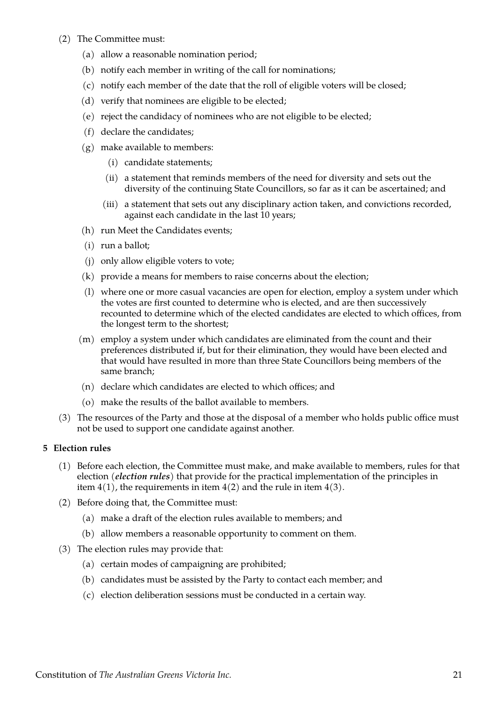- <span id="page-22-2"></span>(2) The Committee must:
	- (a) allow a reasonable nomination period;
	- (b) notify each member in writing of the call for nominations;
	- (c) notify each member of the date that the roll of eligible voters will be closed;
	- (d) verify that nominees are eligible to be elected;
	- (e) reject the candidacy of nominees who are not eligible to be elected;
	- (f) declare the candidates;
	- (g) make available to members:
		- (i) candidate statements;
		- (ii) a statement that reminds members of the need for diversity and sets out the diversity of the continuing State Councillors, so far as it can be ascertained; and
		- (iii) a statement that sets out any disciplinary action taken, and convictions recorded, against each candidate in the last 10 years;
	- (h) run Meet the Candidates events;
	- (i) run a ballot;
	- (j) only allow eligible voters to vote;
	- (k) provide a means for members to raise concerns about the election;
	- (l) where one or more casual vacancies are open for election, employ a system under which the votes are first counted to determine who is elected, and are then successively recounted to determine which of the elected candidates are elected to which offices, from the longest term to the shortest;
	- (m) employ a system under which candidates are eliminated from the count and their preferences distributed if, but for their elimination, they would have been elected and that would have resulted in more than three State Councillors being members of the same branch;
	- (n) declare which candidates are elected to which offices; and
	- (o) make the results of the ballot available to members.
- <span id="page-22-1"></span>(3) The resources of the Party and those at the disposal of a member who holds public office must not be used to support one candidate against another.

# <span id="page-22-0"></span>**5 Election rules**

- (1) Before each election, the Committee must make, and make available to members, rules for that election (*election rules*) that provide for the practical implementation of the principles in item  $4(1)$ , the requirements in item  $4(2)$  and the rule in item  $4(3)$ .
- (2) Before doing that, the Committee must:
	- (a) make a draft of the election rules available to members; and
	- (b) allow members a reasonable opportunity to comment on them.
- (3) The election rules may provide that:
	- (a) certain modes of campaigning are prohibited;
	- (b) candidates must be assisted by the Party to contact each member; and
	- (c) election deliberation sessions must be conducted in a certain way.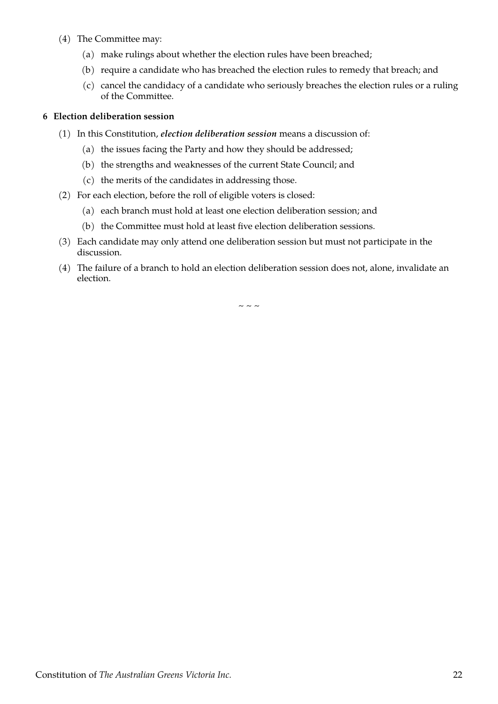- (4) The Committee may:
	- (a) make rulings about whether the election rules have been breached;
	- (b) require a candidate who has breached the election rules to remedy that breach; and
	- (c) cancel the candidacy of a candidate who seriously breaches the election rules or a ruling of the Committee.

# <span id="page-23-0"></span>**6 Election deliberation session**

- <span id="page-23-1"></span>(1) In this Constitution, *election deliberation session* means a discussion of:
	- (a) the issues facing the Party and how they should be addressed;
	- (b) the strengths and weaknesses of the current State Council; and
	- (c) the merits of the candidates in addressing those.
- (2) For each election, before the roll of eligible voters is closed:
	- (a) each branch must hold at least one election deliberation session; and
	- (b) the Committee must hold at least five election deliberation sessions.
- (3) Each candidate may only attend one deliberation session but must not participate in the discussion.
- (4) The failure of a branch to hold an election deliberation session does not, alone, invalidate an election.

 $\sim$   $\sim$   $\sim$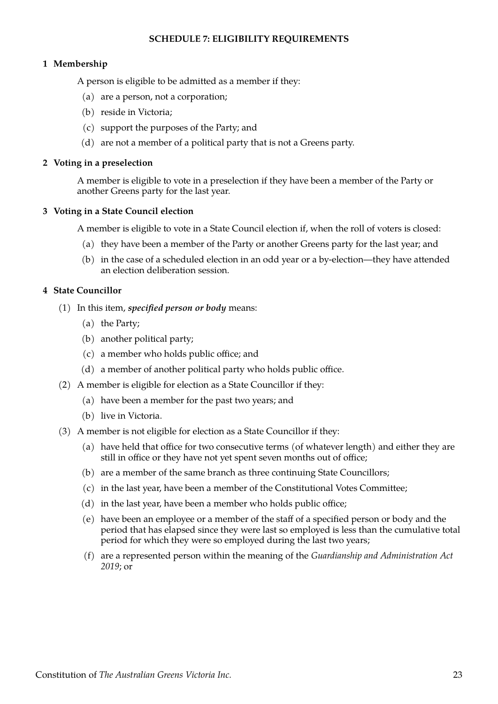# <span id="page-24-4"></span>**SCHEDULE 7: ELIGIBILITY REQUIREMENTS**

# <span id="page-24-3"></span>**1 Membership**

A person is eligible to be admitted as a member if they:

- (a) are a person, not a corporation;
- (b) reside in Victoria;
- (c) support the purposes of the Party; and
- (d) are not a member of a political party that is not a Greens party.

#### <span id="page-24-2"></span>**2 Voting in a preselection**

A member is eligible to vote in a preselection if they have been a member of the Party or another Greens party for the last year.

## <span id="page-24-1"></span>**3 Voting in a State Council election**

A member is eligible to vote in a State Council election if, when the roll of voters is closed:

- (a) they have been a member of the Party or another Greens party for the last year; and
- (b) in the case of a scheduled election in an odd year or a by-election—they have attended an election deliberation session.

## <span id="page-24-0"></span>**4 State Councillor**

- (1) In this item, *specified person or body* means:
	- (a) the Party;
	- (b) another political party;
	- (c) a member who holds public office; and
	- (d) a member of another political party who holds public office.
- (2) A member is eligible for election as a State Councillor if they:
	- (a) have been a member for the past two years; and
	- (b) live in Victoria.
- <span id="page-24-6"></span><span id="page-24-5"></span>(3) A member is not eligible for election as a State Councillor if they:
	- (a) have held that office for two consecutive terms (of whatever length) and either they are still in office or they have not yet spent seven months out of office;
	- (b) are a member of the same branch as three continuing State Councillors;
	- (c) in the last year, have been a member of the Constitutional Votes Committee;
	- (d) in the last year, have been a member who holds public office;
	- (e) have been an employee or a member of the staff of a specified person or body and the period that has elapsed since they were last so employed is less than the cumulative total period for which they were so employed during the last two years;
	- (f) are a represented person within the meaning of the *Guardianship and Administration Act 2019*; or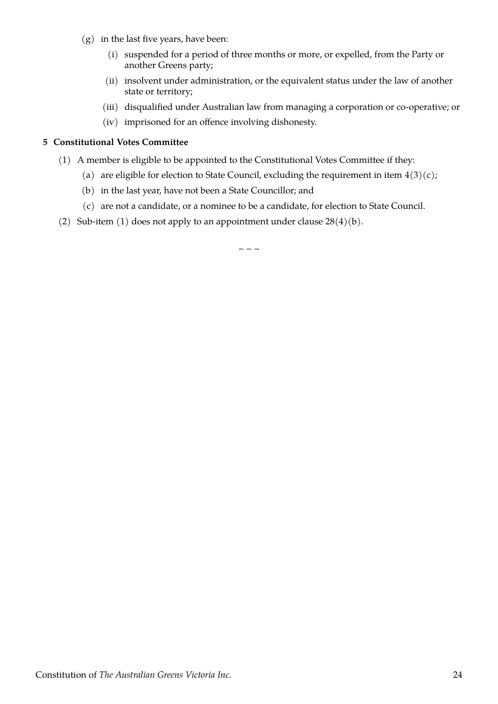- (g) in the last five years, have been:
	- (i) suspended for a period of three months or more, or expelled, from the Party or another Greens party;
	- (ii) insolvent under administration, or the equivalent status under the law of another state or territory;
	- (iii) disqualified under Australian law from managing a corporation or co-operative; or
	- (iv) imprisoned for an offence involving dishonesty.

# <span id="page-25-0"></span>**5 Constitutional Votes Committee**

- <span id="page-25-1"></span>(1) A member is eligible to be appointed to the Constitutional Votes Committee if they:
	- (a) are eligible for election to State Council, excluding the requirement in item  $4(3)(c)$ ;
	- (b) in the last year, have not been a State Councillor; and
	- (c) are not a candidate, or a nominee to be a candidate, for election to State Council.
- (2) Sub-item [\(1\)](#page-25-1) does not apply to an appointment under clause  $28(4)(b)$ .

 $\sim$   $\sim$   $\sim$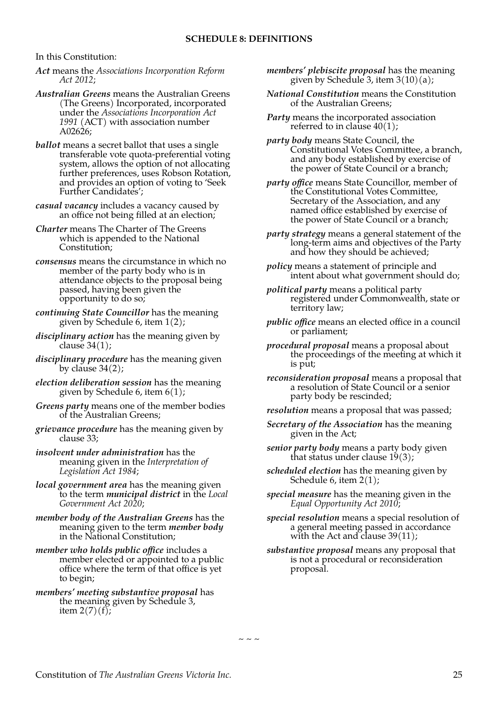In this Constitution:

- *Act* means the *Associations Incorporation Reform Act 2012*;
- *Australian Greens* means the Australian Greens (The Greens) Incorporated, incorporated under the *Associations Incorporation Act 1991* (ACT) with association number A02626;
- *ballot* means a secret ballot that uses a single transferable vote quota-preferential voting system, allows the option of not allocating further preferences, uses Robson Rotation, and provides an option of voting to 'Seek Further Candidates';
- *casual vacancy* includes a vacancy caused by an office not being filled at an election;
- *Charter* means The Charter of The Greens which is appended to the National Constitution;
- *consensus* means the circumstance in which no member of the party body who is in attendance objects to the proposal being passed, having been given the opportunity to do so;
- *continuing State Councillor* has the meaning given by Schedule [6](#page-21-4), item [1\(2\)](#page-21-7);
- *disciplinary action* has the meaning given by clause  $34(1)$ ;
- *disciplinary procedure* has the meaning given by clause  $34(2)$ ;
- *election deliberation session* has the meaning given by Schedule [6](#page-23-0), item [6\(1\)](#page-23-1);
- *Greens party* means one of the member bodies of the Australian Greens;
- *grievance procedure* has the meaning given by clause [33;](#page-9-3)
- *insolvent under administration* has the meaning given in the *Interpretation of Legislation Act 1984*;
- *local government area* has the meaning given to the term *municipal district* in the *Local Government Act 2020*;
- *member body of the Australian Greens* has the meaning given to the term *member body*  in the National Constitution;
- *member who holds public office* includes a member elected or appointed to a public office where the term of that office is yet to begin;
- *members' meeting substantive proposal* has the meaning given by Schedule [3,](#page-15-2) item  $2(7)(f)$ ;
- <span id="page-26-0"></span>*members' plebiscite proposal* has the meaning given by Schedule [3,](#page-15-2) item  $3(10)(a)$ ;
- *National Constitution* means the Constitution of the Australian Greens;
- *Party* means the incorporated association referred to in clause  $40(1)$ ;

*party body* means State Council, the Constitutional Votes Committee, a branch, and any body established by exercise of the power of State Council or a branch;

*party office* means State Councillor, member of the Constitutional Votes Committee, Secretary of the Association, and any named office established by exercise of the power of State Council or a branch;

- *party strategy* means a general statement of the long-term aims and objectives of the Party and how they should be achieved;
- *policy* means a statement of principle and intent about what government should do;

*political party* means a political party registered under Commonwealth, state or territory law;

- *public office* means an elected office in a council or parliament;
- *procedural proposal* means a proposal about the proceedings of the meeting at which it is put;

*reconsideration proposal* means a proposal that a resolution of State Council or a senior party body be rescinded;

- *resolution* means a proposal that was passed;
- *Secretary of the Association* has the meaning given in the Act;
- *senior party body* means a party body given that status under clause [19\(3\)](#page-6-9);
- *scheduled election* has the meaning given by Schedule [6,](#page-21-4) item [2\(1\);](#page-21-6)
- *special measure* has the meaning given in the *Equal Opportunity Act 2010*;
- *special resolution* means a special resolution of a general meeting passed in accordance with the Act and clause  $39(11)$ ;
- *substantive proposal* means any proposal that is not a procedural or reconsideration proposal.

 $\sim$  ~ ~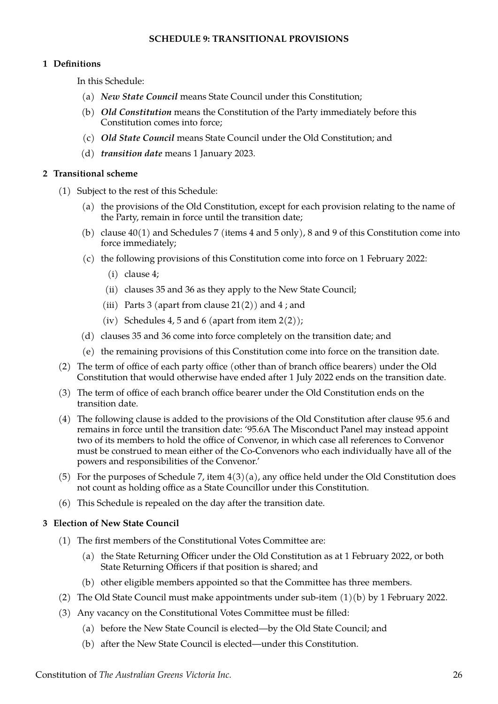# <span id="page-27-3"></span>**SCHEDULE 9: TRANSITIONAL PROVISIONS**

# <span id="page-27-2"></span>**1 Definitions**

In this Schedule:

- (a) *New State Council* means State Council under this Constitution;
- (b) *Old Constitution* means the Constitution of the Party immediately before this Constitution comes into force;
- (c) *Old State Council* means State Council under the Old Constitution; and
- (d) *transition date* means 1 January 2023.

## <span id="page-27-1"></span>**2 Transitional scheme**

- (1) Subject to the rest of this Schedule:
	- (a) the provisions of the Old Constitution, except for each provision relating to the name of the Party, remain in force until the transition date;
	- (b) clause [40\(1\)](#page-11-5) and Schedules [7](#page-24-4) (items [4](#page-24-0) and [5](#page-25-0) only), [8](#page-26-0) and [9](#page-27-3) of this Constitution come into force immediately;
	- (c) the following provisions of this Constitution come into force on 1 February 2022:
		- (i) clause [4](#page-3-1);
		- (ii) clauses [35](#page-9-0) and [36](#page-10-2) as they apply to the New State Council;
		- (iii) Parts [3](#page-6-5) (apart from clause  $21(2)$ ) and [4](#page-7-3); and
		- (iv) Schedules [4](#page-18-0), [5](#page-19-5) and [6](#page-21-4) (apart from item  $2(2)$ );
	- (d) clauses [35](#page-9-0) and [36](#page-10-2) come into force completely on the transition date; and
	- (e) the remaining provisions of this Constitution come into force on the transition date.
- (2) The term of office of each party office (other than of branch office bearers) under the Old Constitution that would otherwise have ended after 1 July 2022 ends on the transition date.
- (3) The term of office of each branch office bearer under the Old Constitution ends on the transition date.
- (4) The following clause is added to the provisions of the Old Constitution after clause 95.6 and remains in force until the transition date: '95.6A The Misconduct Panel may instead appoint two of its members to hold the office of Convenor, in which case all references to Convenor must be construed to mean either of the Co-Convenors who each individually have all of the powers and responsibilities of the Convenor.'
- (5) For the purposes of Schedule [7,](#page-24-4) item  $4(3)(a)$ , any office held under the Old Constitution does not count as holding office as a State Councillor under this Constitution.
- (6) This Schedule is repealed on the day after the transition date.

# <span id="page-27-0"></span>**3 Election of New State Council**

- (1) The first members of the Constitutional Votes Committee are:
	- (a) the State Returning Officer under the Old Constitution as at 1 February 2022, or both State Returning Officers if that position is shared; and
	- (b) other eligible members appointed so that the Committee has three members.
- <span id="page-27-4"></span>(2) The Old State Council must make appointments under sub-item [\(1\)\(b\)](#page-27-4) by 1 February 2022.
- (3) Any vacancy on the Constitutional Votes Committee must be filled:
	- (a) before the New State Council is elected—by the Old State Council; and
	- (b) after the New State Council is elected—under this Constitution.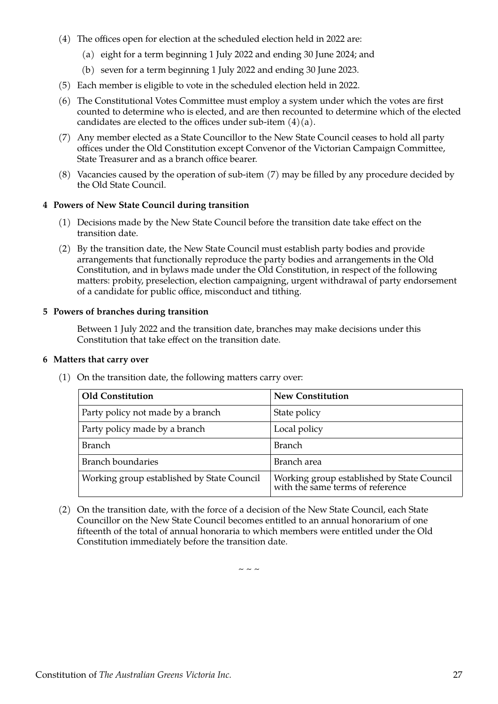- <span id="page-28-4"></span>(4) The offices open for election at the scheduled election held in 2022 are:
	- (a) eight for a term beginning 1 July 2022 and ending 30 June 2024; and
	- (b) seven for a term beginning 1 July 2022 and ending 30 June 2023.
- (5) Each member is eligible to vote in the scheduled election held in 2022.
- (6) The Constitutional Votes Committee must employ a system under which the votes are first counted to determine who is elected, and are then recounted to determine which of the elected candidates are elected to the offices under sub-item  $(4)(a)$ .
- <span id="page-28-3"></span>(7) Any member elected as a State Councillor to the New State Council ceases to hold all party offices under the Old Constitution except Convenor of the Victorian Campaign Committee, State Treasurer and as a branch office bearer.
- (8) Vacancies caused by the operation of sub-item [\(7\)](#page-28-3) may be filled by any procedure decided by the Old State Council.

#### <span id="page-28-2"></span>**4 Powers of New State Council during transition**

- (1) Decisions made by the New State Council before the transition date take effect on the transition date.
- (2) By the transition date, the New State Council must establish party bodies and provide arrangements that functionally reproduce the party bodies and arrangements in the Old Constitution, and in bylaws made under the Old Constitution, in respect of the following matters: probity, preselection, election campaigning, urgent withdrawal of party endorsement of a candidate for public office, misconduct and tithing.

#### <span id="page-28-1"></span>**5 Powers of branches during transition**

Between 1 July 2022 and the transition date, branches may make decisions under this Constitution that take effect on the transition date.

#### <span id="page-28-0"></span>**6 Matters that carry over**

- **Old Constitution New Constitution** Party policy not made by a branch State policy Party policy made by a branch [Local policy] Branch Branch Branch Branch Branch Branch Branch Branch Branch Branch Branch Branch Branch Branch Branch Branch Branch boundaries Branch area Working group established by State Council | Working group established by State Council with the same terms of reference
- (1) On the transition date, the following matters carry over:

(2) On the transition date, with the force of a decision of the New State Council, each State Councillor on the New State Council becomes entitled to an annual honorarium of one fifteenth of the total of annual honoraria to which members were entitled under the Old Constitution immediately before the transition date.

 $\sim$   $\sim$   $\sim$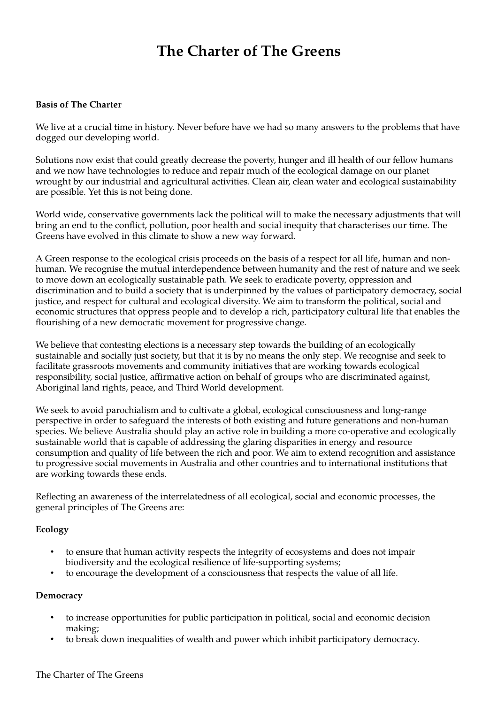# **The Charter of The Greens**

# **Basis of The Charter**

We live at a crucial time in history. Never before have we had so many answers to the problems that have dogged our developing world.

Solutions now exist that could greatly decrease the poverty, hunger and ill health of our fellow humans and we now have technologies to reduce and repair much of the ecological damage on our planet wrought by our industrial and agricultural activities. Clean air, clean water and ecological sustainability are possible. Yet this is not being done.

World wide, conservative governments lack the political will to make the necessary adjustments that will bring an end to the conflict, pollution, poor health and social inequity that characterises our time. The Greens have evolved in this climate to show a new way forward.

A Green response to the ecological crisis proceeds on the basis of a respect for all life, human and nonhuman. We recognise the mutual interdependence between humanity and the rest of nature and we seek to move down an ecologically sustainable path. We seek to eradicate poverty, oppression and discrimination and to build a society that is underpinned by the values of participatory democracy, social justice, and respect for cultural and ecological diversity. We aim to transform the political, social and economic structures that oppress people and to develop a rich, participatory cultural life that enables the flourishing of a new democratic movement for progressive change.

We believe that contesting elections is a necessary step towards the building of an ecologically sustainable and socially just society, but that it is by no means the only step. We recognise and seek to facilitate grassroots movements and community initiatives that are working towards ecological responsibility, social justice, affirmative action on behalf of groups who are discriminated against, Aboriginal land rights, peace, and Third World development.

We seek to avoid parochialism and to cultivate a global, ecological consciousness and long-range perspective in order to safeguard the interests of both existing and future generations and non-human species. We believe Australia should play an active role in building a more co-operative and ecologically sustainable world that is capable of addressing the glaring disparities in energy and resource consumption and quality of life between the rich and poor. We aim to extend recognition and assistance to progressive social movements in Australia and other countries and to international institutions that are working towards these ends.

Reflecting an awareness of the interrelatedness of all ecological, social and economic processes, the general principles of The Greens are:

# **Ecology**

- to ensure that human activity respects the integrity of ecosystems and does not impair biodiversity and the ecological resilience of life-supporting systems;
- to encourage the development of a consciousness that respects the value of all life.

# **Democracy**

- to increase opportunities for public participation in political, social and economic decision making;
- to break down inequalities of wealth and power which inhibit participatory democracy.